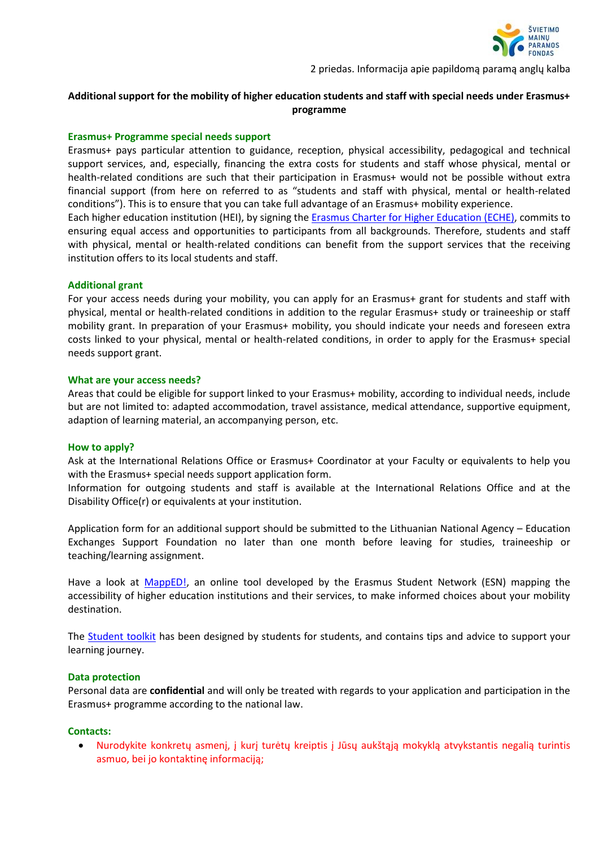

# **Additional support for the mobility of higher education students and staff with special needs under Erasmus+ programme**

#### **Erasmus+ Programme special needs support**

Erasmus+ pays particular attention to guidance, reception, physical accessibility, pedagogical and technical support services, and, especially, financing the extra costs for students and staff whose physical, mental or health-related conditions are such that their participation in Erasmus+ would not be possible without extra financial support (from here on referred to as "students and staff with physical, mental or health-related conditions"). This is to ensure that you can take full advantage of an Erasmus+ mobility experience.

Each higher education institution (HEI), by signing th[e Erasmus Charter for Higher Education \(ECHE\),](https://ec.europa.eu/programmes/erasmus-plus/resources/documents/applicants/higher-education-charter_en) commits to ensuring equal access and opportunities to participants from all backgrounds. Therefore, students and staff with physical, mental or health-related conditions can benefit from the support services that the receiving institution offers to its local students and staff.

#### **Additional grant**

For your access needs during your mobility, you can apply for an Erasmus+ grant for students and staff with physical, mental or health-related conditions in addition to the regular Erasmus+ study or traineeship or staff mobility grant. In preparation of your Erasmus+ mobility, you should indicate your needs and foreseen extra costs linked to your physical, mental or health-related conditions, in order to apply for the Erasmus+ special needs support grant.

#### **What are your access needs?**

Areas that could be eligible for support linked to your Erasmus+ mobility, according to individual needs, include but are not limited to: adapted accommodation, travel assistance, medical attendance, supportive equipment, adaption of learning material, an accompanying person, etc.

#### **How to apply?**

Ask at the International Relations Office or Erasmus+ Coordinator at your Faculty or equivalents to help you with the Erasmus+ special needs support application form.

Information for outgoing students and staff is available at the International Relations Office and at the Disability Office(r) or equivalents at your institution.

Application form for an additional support should be submitted to the Lithuanian National Agency – Education Exchanges Support Foundation no later than one month before leaving for studies, traineeship or teaching/learning assignment.

Have a look at [MappED!,](https://mapped.eu/) an online tool developed by the Erasmus Student Network (ESN) mapping the accessibility of higher education institutions and their services, to make informed choices about your mobility destination.

The [Student toolkit](https://studenttoolkit.eu/assignments-2/group-assignments/) has been designed by students for students, and contains tips and advice to support your learning journey.

#### **Data protection**

Personal data are **confidential** and will only be treated with regards to your application and participation in the Erasmus+ programme according to the national law.

### **Contacts:**

• Nurodykite konkretų asmenį, į kurį turėtų kreiptis į Jūsų aukštąją mokyklą atvykstantis negalią turintis asmuo, bei jo kontaktinę informaciją;